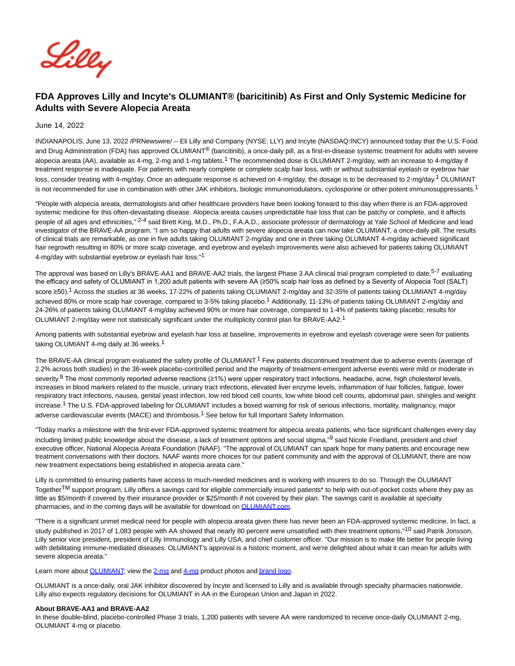

# **FDA Approves Lilly and Incyte's OLUMIANT® (baricitinib) As First and Only Systemic Medicine for Adults with Severe Alopecia Areata**

June 14, 2022

INDIANAPOLIS, June 13, 2022 /PRNewswire/ -- Eli Lilly and Company (NYSE: LLY) and Incyte (NASDAQ:INCY) announced today that the U.S. Food and Drug Administration (FDA) has approved OLUMIANT<sup>®</sup> (baricitinib), a once-daily pill, as a first-in-disease systemic treatment for adults with severe alopecia areata (AA), available as 4-mg, 2-mg and 1-mg tablets.<sup>1</sup> The recommended dose is OLUMIANT 2-mg/day, with an increase to 4-mg/day if treatment response is inadequate. For patients with nearly complete or complete scalp hair loss, with or without substantial eyelash or eyebrow hair loss, consider treating with 4-mg/day. Once an adequate response is achieved on 4-mg/day, the dosage is to be decreased to 2-mg/day.<sup>1</sup> OLUMIANT is not recommended for use in combination with other JAK inhibitors, biologic immunomodulators, cyclosporine or other potent immunosuppressants.<sup>1</sup>

"People with alopecia areata, dermatologists and other healthcare providers have been looking forward to this day when there is an FDA-approved systemic medicine for this often-devastating disease. Alopecia areata causes unpredictable hair loss that can be patchy or complete, and it affects people of all ages and ethnicities," <sup>2-4</sup> said Brett King, M.D., Ph.D., F.A.A.D., associate professor of dermatology at Yale School of Medicine and lead investigator of the BRAVE-AA program. "I am so happy that adults with severe alopecia areata can now take OLUMIANT, a once-daily pill. The results of clinical trials are remarkable, as one in five adults taking OLUMIANT 2-mg/day and one in three taking OLUMIANT 4-mg/day achieved significant hair regrowth resulting in 80% or more scalp coverage, and eyebrow and eyelash improvements were also achieved for patients taking OLUMIANT 4-mg/day with substantial eyebrow or eyelash hair loss."1

The approval was based on Lilly's BRAVE-AA1 and BRAVE-AA2 trials, the largest Phase 3 AA clinical trial program completed to date,<sup>5-7</sup> evaluating the efficacy and safety of OLUMIANT in 1,200 adult patients with severe AA (≥50% scalp hair loss as defined by a Severity of Alopecia Tool (SALT) score ≥50).<sup>1</sup> Across the studies at 36 weeks, 17-22% of patients taking OLUMIANT 2-mg/day and 32-35% of patients taking OLUMIANT 4-mg/day achieved 80% or more scalp hair coverage, compared to 3-5% taking placebo.<sup>1</sup> Additionally, 11-13% of patients taking OLUMIANT 2-mg/day and 24-26% of patients taking OLUMIANT 4-mg/day achieved 90% or more hair coverage, compared to 1-4% of patients taking placebo; results for OLUMIANT 2-mg/day were not statistically significant under the multiplicity control plan for BRAVE-AA2.1

Among patients with substantial eyebrow and eyelash hair loss at baseline, improvements in eyebrow and eyelash coverage were seen for patients taking OLUMIANT 4-mg daily at 36 weeks.<sup>1</sup>

The BRAVE-AA clinical program evaluated the safety profile of OLUMIANT.<sup>1</sup> Few patients discontinued treatment due to adverse events (average of 2.2% across both studies) in the 36-week placebo-controlled period and the majority of treatment-emergent adverse events were mild or moderate in severity.<sup>8</sup> The most commonly reported adverse reactions (≥1%) were upper respiratory tract infections, headache, acne, high cholesterol levels, increases in blood markers related to the muscle, urinary tract infections, elevated liver enzyme levels, inflammation of hair follicles, fatigue, lower respiratory tract infections, nausea, genital yeast infection, low red blood cell counts, low white blood cell counts, abdominal pain, shingles and weight increase.<sup>1</sup> The U.S. FDA-approved labeling for OLUMIANT includes a boxed warning for risk of serious infections, mortality, malignancy, major adverse cardiovascular events (MACE) and thrombosis.<sup>1</sup> See below for full Important Safety Information.

"Today marks a milestone with the first-ever FDA-approved systemic treatment for alopecia areata patients, who face significant challenges every day including limited public knowledge about the disease, a lack of treatment options and social stigma,"<sup>9</sup> said Nicole Friedland, president and chief executive officer, National Alopecia Areata Foundation (NAAF). "The approval of OLUMIANT can spark hope for many patients and encourage new treatment conversations with their doctors. NAAF wants more choices for our patient community and with the approval of OLUMIANT, there are now new treatment expectations being established in alopecia areata care."

Lilly is committed to ensuring patients have access to much-needed medicines and is working with insurers to do so. Through the OLUMIANT Together<sup>TM</sup> support program, Lilly offers a savings card for eligible commercially insured patients\* to help with out-of-pocket costs where they pay as little as \$5/month if covered by their insurance provider or \$25/month if not covered by their plan. The savings card is available at specialty pharmacies, and in the coming days will be available for download o[n OLUMIANT.com.](http://olumiant.com/) 

"There is a significant unmet medical need for people with alopecia areata given there has never been an FDA-approved systemic medicine. In fact, a study published in 2017 of 1,083 people with AA showed that nearly 80 percent were unsatisfied with their treatment options,"<sup>10</sup> said Patrik Jonsson, Lilly senior vice president, president of Lilly Immunology and Lilly USA, and chief customer officer. "Our mission is to make life better for people living with debilitating immune-mediated diseases. OLUMIANT's approval is a historic moment, and we're delighted about what it can mean for adults with severe alopecia areata."

Learn more about [OLUMIANT;](https://c212.net/c/link/?t=0&l=en&o=3566232-1&h=2269905693&u=https%3A%2F%2Fwww.olumiant.com%2F%3Futm_source%3Dinvestor.lilly%26utm_medium%3Dpress%2Brelease%26utm_campaign%3D20220613_PR_olumiant&a=OLUMIANT) view the [2-mg a](https://c212.net/c/link/?t=0&l=en&o=3566232-1&h=3993840361&u=https%3A%2F%2Fimages.ctfassets.net%2Fsrys4ukjcerm%2F6JvOsNV92h4YicfCyC38zv%2Fa0a57863335b941f9df58489bdcf774c%2FOlumiant_Bottle_2mg.jpg&a=2-mg)n[d 4-mg p](https://c212.net/c/link/?t=0&l=en&o=3566232-1&h=811934835&u=https%3A%2F%2Fimages.ctfassets.net%2Fsrys4ukjcerm%2F7uJpxATgJcrySmWthSIBfz%2F1179a27f6ba9340cce41bc91282fc43c%2FOlumiant_Bottle_4mg.png&a=4-mg)roduct photos an[d brand logo.](https://c212.net/c/link/?t=0&l=en&o=3566232-1&h=4168843262&u=https%3A%2F%2Fimages.ctfassets.net%2Fsrys4ukjcerm%2F4u5zd73BdQ0fzmOyFZMUp6%2F4b70c5e16845bbb248256550a20357ea%2FOlumiant_Logo_4_2_1MG.png&a=brand+logo)

OLUMIANT is a once-daily, oral JAK inhibitor discovered by Incyte and licensed to Lilly and is available through specialty pharmacies nationwide. Lilly also expects regulatory decisions for OLUMIANT in AA in the European Union and Japan in 2022.

#### **About BRAVE-AA1 and BRAVE-AA2**

In these double-blind, placebo-controlled Phase 3 trials, 1,200 patients with severe AA were randomized to receive once-daily OLUMIANT 2-mg, OLUMIANT 4-mg or placebo.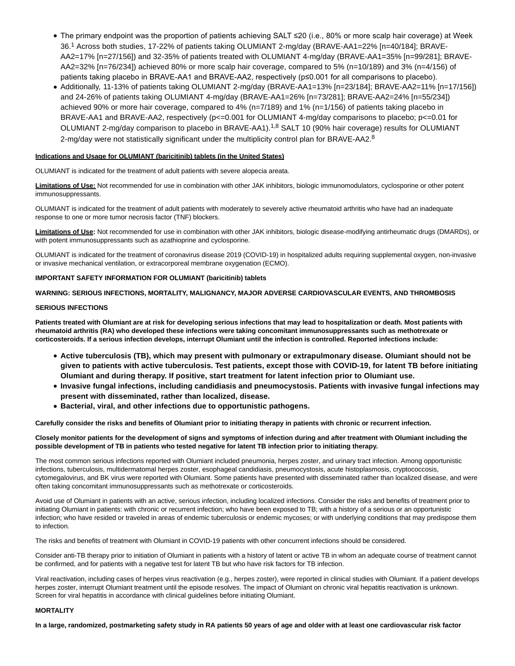- The primary endpoint was the proportion of patients achieving SALT ≤20 (i.e., 80% or more scalp hair coverage) at Week 36.<sup>1</sup> Across both studies, 17-22% of patients taking OLUMIANT 2-mg/day (BRAVE-AA1=22% [n=40/184]; BRAVE-AA2=17% [n=27/156]) and 32-35% of patients treated with OLUMIANT 4-mg/day (BRAVE-AA1=35% [n=99/281]; BRAVE-AA2=32% [n=76/234]) achieved 80% or more scalp hair coverage, compared to 5% (n=10/189) and 3% (n=4/156) of patients taking placebo in BRAVE-AA1 and BRAVE-AA2, respectively (p≤0.001 for all comparisons to placebo).
- Additionally, 11-13% of patients taking OLUMIANT 2-mg/day (BRAVE-AA1=13% [n=23/184]; BRAVE-AA2=11% [n=17/156]) and 24-26% of patients taking OLUMIANT 4-mg/day (BRAVE-AA1=26% [n=73/281]; BRAVE-AA2=24% [n=55/234]) achieved 90% or more hair coverage, compared to 4% (n=7/189) and 1% (n=1/156) of patients taking placebo in BRAVE-AA1 and BRAVE-AA2, respectively (p<=0.001 for OLUMIANT 4-mg/day comparisons to placebo; p<=0.01 for OLUMIANT 2-mg/day comparison to placebo in BRAVE-AA1).<sup>1,8</sup> SALT 10 (90% hair coverage) results for OLUMIANT 2-mg/day were not statistically significant under the multiplicity control plan for BRAVE-AA2.<sup>8</sup>

#### **Indications and Usage for OLUMIANT (baricitinib) tablets (in the United States)**

OLUMIANT is indicated for the treatment of adult patients with severe alopecia areata.

**Limitations of Use:** Not recommended for use in combination with other JAK inhibitors, biologic immunomodulators, cyclosporine or other potent immunosuppressants.

OLUMIANT is indicated for the treatment of adult patients with moderately to severely active rheumatoid arthritis who have had an inadequate response to one or more tumor necrosis factor (TNF) blockers.

**Limitations of Use:** Not recommended for use in combination with other JAK inhibitors, biologic disease-modifying antirheumatic drugs (DMARDs), or with potent immunosuppressants such as azathioprine and cyclosporine.

OLUMIANT is indicated for the treatment of coronavirus disease 2019 (COVID-19) in hospitalized adults requiring supplemental oxygen, non-invasive or invasive mechanical ventilation, or extracorporeal membrane oxygenation (ECMO).

## **IMPORTANT SAFETY INFORMATION FOR OLUMIANT (baricitinib) tablets**

**WARNING: SERIOUS INFECTIONS, MORTALITY, MALIGNANCY, MAJOR ADVERSE CARDIOVASCULAR EVENTS, AND THROMBOSIS**

#### **SERIOUS INFECTIONS**

**Patients treated with Olumiant are at risk for developing serious infections that may lead to hospitalization or death. Most patients with rheumatoid arthritis (RA) who developed these infections were taking concomitant immunosuppressants such as methotrexate or corticosteroids. If a serious infection develops, interrupt Olumiant until the infection is controlled. Reported infections include:**

- **Active tuberculosis (TB), which may present with pulmonary or extrapulmonary disease. Olumiant should not be given to patients with active tuberculosis. Test patients, except those with COVID-19, for latent TB before initiating Olumiant and during therapy. If positive, start treatment for latent infection prior to Olumiant use.**
- **Invasive fungal infections, including candidiasis and pneumocystosis. Patients with invasive fungal infections may present with disseminated, rather than localized, disease.**
- **Bacterial, viral, and other infections due to opportunistic pathogens.**

**Carefully consider the risks and benefits of Olumiant prior to initiating therapy in patients with chronic or recurrent infection.**

**Closely monitor patients for the development of signs and symptoms of infection during and after treatment with Olumiant including the possible development of TB in patients who tested negative for latent TB infection prior to initiating therapy.**

The most common serious infections reported with Olumiant included pneumonia, herpes zoster, and urinary tract infection. Among opportunistic infections, tuberculosis, multidermatomal herpes zoster, esophageal candidiasis, pneumocystosis, acute histoplasmosis, cryptococcosis, cytomegalovirus, and BK virus were reported with Olumiant. Some patients have presented with disseminated rather than localized disease, and were often taking concomitant immunosuppressants such as methotrexate or corticosteroids.

Avoid use of Olumiant in patients with an active, serious infection, including localized infections. Consider the risks and benefits of treatment prior to initiating Olumiant in patients: with chronic or recurrent infection; who have been exposed to TB; with a history of a serious or an opportunistic infection; who have resided or traveled in areas of endemic tuberculosis or endemic mycoses; or with underlying conditions that may predispose them to infection.

The risks and benefits of treatment with Olumiant in COVID-19 patients with other concurrent infections should be considered.

Consider anti-TB therapy prior to initiation of Olumiant in patients with a history of latent or active TB in whom an adequate course of treatment cannot be confirmed, and for patients with a negative test for latent TB but who have risk factors for TB infection.

Viral reactivation, including cases of herpes virus reactivation (e.g., herpes zoster), were reported in clinical studies with Olumiant. If a patient develops herpes zoster, interrupt Olumiant treatment until the episode resolves. The impact of Olumiant on chronic viral hepatitis reactivation is unknown. Screen for viral hepatitis in accordance with clinical guidelines before initiating Olumiant.

#### **MORTALITY**

**In a large, randomized, postmarketing safety study in RA patients 50 years of age and older with at least one cardiovascular risk factor**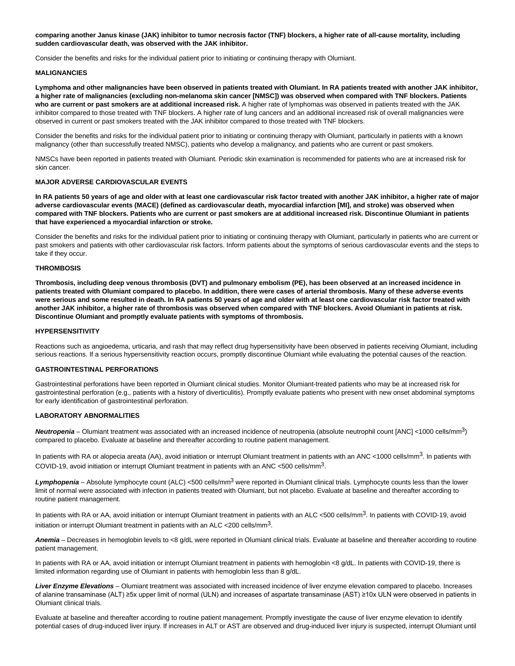**comparing another Janus kinase (JAK) inhibitor to tumor necrosis factor (TNF) blockers, a higher rate of all-cause mortality, including sudden cardiovascular death, was observed with the JAK inhibitor.**

Consider the benefits and risks for the individual patient prior to initiating or continuing therapy with Olumiant.

#### **MALIGNANCIES**

**Lymphoma and other malignancies have been observed in patients treated with Olumiant. In RA patients treated with another JAK inhibitor, a higher rate of malignancies (excluding non-melanoma skin cancer [NMSC]) was observed when compared with TNF blockers. Patients who are current or past smokers are at additional increased risk.** A higher rate of lymphomas was observed in patients treated with the JAK inhibitor compared to those treated with TNF blockers. A higher rate of lung cancers and an additional increased risk of overall malignancies were observed in current or past smokers treated with the JAK inhibitor compared to those treated with TNF blockers.

Consider the benefits and risks for the individual patient prior to initiating or continuing therapy with Olumiant, particularly in patients with a known malignancy (other than successfully treated NMSC), patients who develop a malignancy, and patients who are current or past smokers.

NMSCs have been reported in patients treated with Olumiant. Periodic skin examination is recommended for patients who are at increased risk for skin cancer.

#### **MAJOR ADVERSE CARDIOVASCULAR EVENTS**

**In RA patients 50 years of age and older with at least one cardiovascular risk factor treated with another JAK inhibitor, a higher rate of major adverse cardiovascular events (MACE) (defined as cardiovascular death, myocardial infarction [MI], and stroke) was observed when compared with TNF blockers. Patients who are current or past smokers are at additional increased risk. Discontinue Olumiant in patients that have experienced a myocardial infarction or stroke.**

Consider the benefits and risks for the individual patient prior to initiating or continuing therapy with Olumiant, particularly in patients who are current or past smokers and patients with other cardiovascular risk factors. Inform patients about the symptoms of serious cardiovascular events and the steps to take if they occur.

#### **THROMBOSIS**

**Thrombosis, including deep venous thrombosis (DVT) and pulmonary embolism (PE), has been observed at an increased incidence in patients treated with Olumiant compared to placebo. In addition, there were cases of arterial thrombosis. Many of these adverse events were serious and some resulted in death. In RA patients 50 years of age and older with at least one cardiovascular risk factor treated with another JAK inhibitor, a higher rate of thrombosis was observed when compared with TNF blockers. Avoid Olumiant in patients at risk. Discontinue Olumiant and promptly evaluate patients with symptoms of thrombosis.**

#### **HYPERSENSITIVITY**

Reactions such as angioedema, urticaria, and rash that may reflect drug hypersensitivity have been observed in patients receiving Olumiant, including serious reactions. If a serious hypersensitivity reaction occurs, promptly discontinue Olumiant while evaluating the potential causes of the reaction.

## **GASTROINTESTINAL PERFORATIONS**

Gastrointestinal perforations have been reported in Olumiant clinical studies. Monitor Olumiant-treated patients who may be at increased risk for gastrointestinal perforation (e.g., patients with a history of diverticulitis). Promptly evaluate patients who present with new onset abdominal symptoms for early identification of gastrointestinal perforation.

#### **LABORATORY ABNORMALITIES**

**Neutropenia** – Olumiant treatment was associated with an increased incidence of neutropenia (absolute neutrophil count [ANC] <1000 cells/mm3) compared to placebo. Evaluate at baseline and thereafter according to routine patient management.

In patients with RA or alopecia areata (AA), avoid initiation or interrupt Olumiant treatment in patients with an ANC <1000 cells/mm<sup>3</sup>. In patients with COVID-19, avoid initiation or interrupt Olumiant treatment in patients with an ANC <500 cells/mm3.

**Lymphopenia** – Absolute lymphocyte count (ALC) <500 cells/mm3 were reported in Olumiant clinical trials. Lymphocyte counts less than the lower limit of normal were associated with infection in patients treated with Olumiant, but not placebo. Evaluate at baseline and thereafter according to routine patient management.

In patients with RA or AA, avoid initiation or interrupt Olumiant treatment in patients with an ALC <500 cells/mm<sup>3</sup>. In patients with COVID-19, avoid initiation or interrupt Olumiant treatment in patients with an ALC <200 cells/mm<sup>3</sup>.

**Anemia** – Decreases in hemoglobin levels to <8 g/dL were reported in Olumiant clinical trials. Evaluate at baseline and thereafter according to routine patient management.

In patients with RA or AA, avoid initiation or interrupt Olumiant treatment in patients with hemoglobin <8 g/dL. In patients with COVID-19, there is limited information regarding use of Olumiant in patients with hemoglobin less than 8 g/dL.

**Liver Enzyme Elevations** – Olumiant treatment was associated with increased incidence of liver enzyme elevation compared to placebo. Increases of alanine transaminase (ALT) ≥5x upper limit of normal (ULN) and increases of aspartate transaminase (AST) ≥10x ULN were observed in patients in Olumiant clinical trials.

Evaluate at baseline and thereafter according to routine patient management. Promptly investigate the cause of liver enzyme elevation to identify potential cases of drug-induced liver injury. If increases in ALT or AST are observed and drug-induced liver injury is suspected, interrupt Olumiant until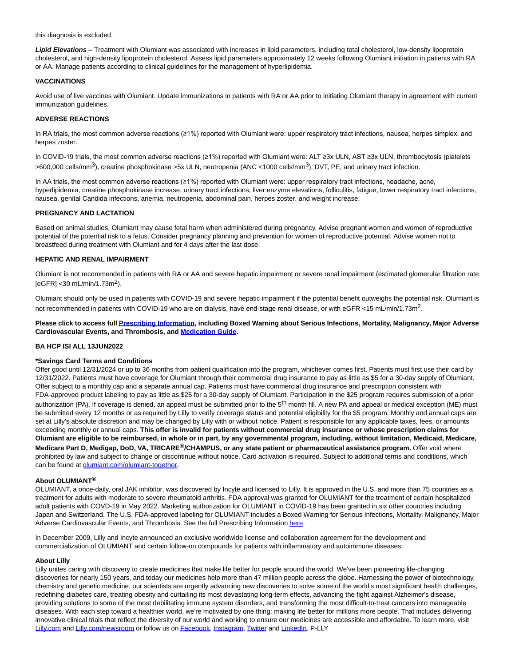this diagnosis is excluded.

**Lipid Elevations** – Treatment with Olumiant was associated with increases in lipid parameters, including total cholesterol, low-density lipoprotein cholesterol, and high-density lipoprotein cholesterol. Assess lipid parameters approximately 12 weeks following Olumiant initiation in patients with RA or AA. Manage patients according to clinical guidelines for the management of hyperlipidemia.

## **VACCINATIONS**

Avoid use of live vaccines with Olumiant. Update immunizations in patients with RA or AA prior to initiating Olumiant therapy in agreement with current immunization guidelines.

## **ADVERSE REACTIONS**

In RA trials, the most common adverse reactions (≥1%) reported with Olumiant were: upper respiratory tract infections, nausea, herpes simplex, and herpes zoster.

In COVID-19 trials, the most common adverse reactions (≥1%) reported with Olumiant were: ALT ≥3x ULN, AST ≥3x ULN, thrombocytosis (platelets >600,000 cells/mm<sup>3</sup>), creatine phosphokinase >5x ULN, neutropenia (ANC <1000 cells/mm<sup>3</sup>), DVT, PE, and urinary tract infection.

In AA trials, the most common adverse reactions (≥1%) reported with Olumiant were: upper respiratory tract infections, headache, acne, hyperlipidemia, creatine phosphokinase increase, urinary tract infections, liver enzyme elevations, folliculitis, fatigue, lower respiratory tract infections, nausea, genital Candida infections, anemia, neutropenia, abdominal pain, herpes zoster, and weight increase.

## **PREGNANCY AND LACTATION**

Based on animal studies, Olumiant may cause fetal harm when administered during pregnancy. Advise pregnant women and women of reproductive potential of the potential risk to a fetus. Consider pregnancy planning and prevention for women of reproductive potential. Advise women not to breastfeed during treatment with Olumiant and for 4 days after the last dose.

## **HEPATIC AND RENAL IMPAIRMENT**

Olumiant is not recommended in patients with RA or AA and severe hepatic impairment or severe renal impairment (estimated glomerular filtration rate  $[eGFR]$  < 30 mL/min/1.73m<sup>2</sup>).

Olumiant should only be used in patients with COVID-19 and severe hepatic impairment if the potential benefit outweighs the potential risk. Olumiant is not recommended in patients with COVID-19 who are on dialysis, have end-stage renal disease, or with eGFR <15 mL/min/1.73m2.

**Please click to access ful[l Prescribing Information,](https://c212.net/c/link/?t=0&l=en&o=3566232-1&h=3617707536&u=http%3A%2F%2Fuspl.lilly.com%2Folumiant%2Folumiant.html%3Fs%3Dpi&a=Prescribing+Information) including Boxed Warning about Serious Infections, Mortality, Malignancy, Major Adverse Cardiovascular Events, and Thrombosis, and [Medication Guide.](https://c212.net/c/link/?t=0&l=en&o=3566232-1&h=3276158969&u=http%3A%2F%2Fuspl.lilly.com%2Folumiant%2Folumiant.html%3Fs%3Dmg&a=Medication+Guide)**

## **BA HCP ISI ALL 13JUN2022**

## **\*Savings Card Terms and Conditions**

Offer good until 12/31/2024 or up to 36 months from patient qualification into the program, whichever comes first. Patients must first use their card by 12/31/2022. Patients must have coverage for Olumiant through their commercial drug insurance to pay as little as \$5 for a 30-day supply of Olumiant. Offer subject to a monthly cap and a separate annual cap. Patients must have commercial drug insurance and prescription consistent with FDA-approved product labeling to pay as little as \$25 for a 30-day supply of Olumiant. Participation in the \$25 program requires submission of a prior authorization (PA). If coverage is denied, an appeal must be submitted prior to the 5<sup>th</sup> month fill. A new PA and appeal or medical exception (ME) must be submitted every 12 months or as required by Lilly to verify coverage status and potential eligibility for the \$5 program. Monthly and annual caps are set at Lilly's absolute discretion and may be changed by Lilly with or without notice. Patient is responsible for any applicable taxes, fees, or amounts exceeding monthly or annual caps. **This offer is invalid for patients without commercial drug insurance or whose prescription claims for Olumiant are eligible to be reimbursed, in whole or in part, by any governmental program, including, without limitation, Medicaid, Medicare, Medicare Part D, Medigap, DoD, VA, TRICARE®/CHAMPUS, or any state patient or pharmaceutical assistance program.** Offer void where prohibited by law and subject to change or discontinue without notice. Card activation is required. Subject to additional terms and conditions, which can be found at **olumiant.com/olumiant-together**.

## **About OLUMIANT®**

OLUMIANT, a once-daily, oral JAK inhibitor, was discovered by Incyte and licensed to Lilly. It is approved in the U.S. and more than 75 countries as a treatment for adults with moderate to severe rheumatoid arthritis. FDA approval was granted for OLUMIANT for the treatment of certain hospitalized adult patients with COVD-19 in May 2022. Marketing authorization for OLUMIANT in COVID-19 has been granted in six other countries including Japan and Switzerland. The U.S. FDA-approved labeling for OLUMIANT includes a Boxed Warning for Serious Infections, Mortality, Malignancy, Major Adverse Cardiovascular Events, and Thrombosis. See the full Prescribing Informatio[n here.](https://c212.net/c/link/?t=0&l=en&o=3566232-1&h=3660004404&u=http%3A%2F%2Fuspl.lilly.com%2Folumiant%2Folumiant.html%3Fs%3Dpi&a=here)

In December 2009, Lilly and Incyte announced an exclusive worldwide license and collaboration agreement for the development and commercialization of OLUMIANT and certain follow-on compounds for patients with inflammatory and autoimmune diseases.

## **About Lilly**

Lilly unites caring with discovery to create medicines that make life better for people around the world. We've been pioneering life-changing discoveries for nearly 150 years, and today our medicines help more than 47 million people across the globe. Harnessing the power of biotechnology, chemistry and genetic medicine, our scientists are urgently advancing new discoveries to solve some of the world's most significant health challenges, redefining diabetes care, treating obesity and curtailing its most devastating long-term effects, advancing the fight against Alzheimer's disease, providing solutions to some of the most debilitating immune system disorders, and transforming the most difficult-to-treat cancers into manageable diseases. With each step toward a healthier world, we're motivated by one thing: making life better for millions more people. That includes delivering innovative clinical trials that reflect the diversity of our world and working to ensure our medicines are accessible and affordable. To learn more, visit [Lilly.com a](https://c212.net/c/link/?t=0&l=en&o=3566232-1&h=2203073161&u=https%3A%2F%2Fwww.lilly.com%2Fnews%2Fpress-releases&a=Lilly.com)nd [Lilly.com/newsroom o](https://c212.net/c/link/?t=0&l=en&o=3566232-1&h=4230213439&u=https%3A%2F%2Fwww.lilly.com%2Fnews&a=Lilly.com%2Fnewsroom)r follow us o[n Facebook,](https://c212.net/c/link/?t=0&l=en&o=3566232-1&h=4108355178&u=https%3A%2F%2Fwww.facebook.com%2Felilillyandco%2F&a=Facebook) [Instagram,](https://c212.net/c/link/?t=0&l=en&o=3566232-1&h=3102055772&u=https%3A%2F%2Finstagram.com%2Felilillyco%3Figshid%3Dlxqsf8s20oa1&a=Instagram) [Twitter a](https://c212.net/c/link/?t=0&l=en&o=3566232-1&h=3731846361&u=https%3A%2F%2Ftwitter.com%2FLillyPad&a=Twitter)nd [LinkedIn.](https://c212.net/c/link/?t=0&l=en&o=3566232-1&h=1097545051&u=https%3A%2F%2Fwww.linkedin.com%2Fcompany%2Feli-lilly-and-company&a=LinkedIn) P-LLY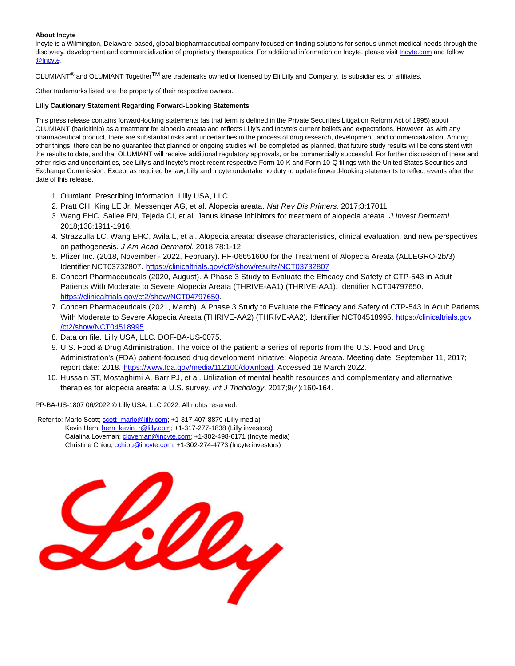## **About Incyte**

Incyte is a Wilmington, Delaware-based, global biopharmaceutical company focused on finding solutions for serious unmet medical needs through the discovery, development and commercialization of proprietary therapeutics. For additional information on Incyte, please visi[t Incyte.com a](https://c212.net/c/link/?t=0&l=en&o=3566232-1&h=2703263332&u=https%3A%2F%2Fc212.net%2Fc%2Flink%2F%3Ft%3D0%26l%3Den%26o%3D2966629-1%26h%3D373674565%26u%3Dhttp%253A%252F%252Fwww.incyte.com%252F%26a%3DIncyte.com&a=Incyte.com)nd follow [@Incyte.](https://c212.net/c/link/?t=0&l=en&o=3566232-1&h=3611503957&u=https%3A%2F%2Fc212.net%2Fc%2Flink%2F%3Ft%3D0%26l%3Den%26o%3D2966629-1%26h%3D1583581422%26u%3Dhttps%253A%252F%252Ftwitter.com%252FIncyte%26a%3D%2540Incyte&a=%40Incyte)

OLUMIANT<sup>®</sup> and OLUMIANT Together<sup>TM</sup> are trademarks owned or licensed by Eli Lilly and Company, its subsidiaries, or affiliates.

Other trademarks listed are the property of their respective owners.

## **Lilly Cautionary Statement Regarding Forward-Looking Statements**

This press release contains forward-looking statements (as that term is defined in the Private Securities Litigation Reform Act of 1995) about OLUMIANT (baricitinib) as a treatment for alopecia areata and reflects Lilly's and Incyte's current beliefs and expectations. However, as with any pharmaceutical product, there are substantial risks and uncertainties in the process of drug research, development, and commercialization. Among other things, there can be no guarantee that planned or ongoing studies will be completed as planned, that future study results will be consistent with the results to date, and that OLUMIANT will receive additional regulatory approvals, or be commercially successful. For further discussion of these and other risks and uncertainties, see Lilly's and Incyte's most recent respective Form 10-K and Form 10-Q filings with the United States Securities and Exchange Commission. Except as required by law, Lilly and Incyte undertake no duty to update forward-looking statements to reflect events after the date of this release.

- 1. Olumiant. Prescribing Information. Lilly USA, LLC.
- 2. Pratt CH, King LE Jr, Messenger AG, et al. Alopecia areata. Nat Rev Dis Primers. 2017;3:17011.
- 3. Wang EHC, Sallee BN, Tejeda CI, et al. Janus kinase inhibitors for treatment of alopecia areata. J Invest Dermatol. 2018;138:1911-1916.
- 4. Strazzulla LC, Wang EHC, Avila L, et al. Alopecia areata: disease characteristics, clinical evaluation, and new perspectives on pathogenesis. J Am Acad Dermatol. 2018;78:1-12.
- 5. Pfizer Inc. (2018, November 2022, February). PF-06651600 for the Treatment of Alopecia Areata (ALLEGRO-2b/3). Identifier NCT03732807. [https://clinicaltrials.gov/ct2/show/results/NCT03732807](https://c212.net/c/link/?t=0&l=en&o=3566232-1&h=2039720954&u=https%3A%2F%2Fclinicaltrials.gov%2Fct2%2Fshow%2Fresults%2FNCT03732807&a=https%3A%2F%2Fclinicaltrials.gov%2Fct2%2Fshow%2Fresults%2FNCT03732807)
- 6. Concert Pharmaceuticals (2020, August). A Phase 3 Study to Evaluate the Efficacy and Safety of CTP-543 in Adult Patients With Moderate to Severe Alopecia Areata (THRIVE-AA1) (THRIVE-AA1). Identifier NCT04797650. [https://clinicaltrials.gov/ct2/show/NCT04797650.](https://c212.net/c/link/?t=0&l=en&o=3566232-1&h=3677131985&u=https%3A%2F%2Fclinicaltrials.gov%2Fct2%2Fshow%2FNCT04797650&a=https%3A%2F%2Fclinicaltrials.gov%2Fct2%2Fshow%2FNCT04797650)
- 7. Concert Pharmaceuticals (2021, March). A Phase 3 Study to Evaluate the Efficacy and Safety of CTP-543 in Adult Patients With Moderate to Severe Alopecia Areata (THRIVE-AA2) (THRIVE-AA2). Identifier NCT04518995. [https://clinicaltrials.gov](https://c212.net/c/link/?t=0&l=en&o=3566232-1&h=890312146&u=https%3A%2F%2Fclinicaltrials.gov%2Fct2%2Fshow%2FNCT04518995&a=https%3A%2F%2Fclinicaltrials.gov%2Fct2%2Fshow%2FNCT04518995) /ct2/show/NCT04518995.
- 8. Data on file. Lilly USA, LLC. DOF-BA-US-0075.
- 9. U.S. Food & Drug Administration. The voice of the patient: a series of reports from the U.S. Food and Drug Administration's (FDA) patient-focused drug development initiative: Alopecia Areata. Meeting date: September 11, 2017; report date: 2018. [https://www.fda.gov/media/112100/download.](https://c212.net/c/link/?t=0&l=en&o=3566232-1&h=211200981&u=http%3A%2F%2Fwww.fda.gov%2Fmedia%2F112100%2Fdownload&a=https%3A%2F%2Fwww.fda.gov%2Fmedia%2F112100%2Fdownload) Accessed 18 March 2022.
- 10. Hussain ST, Mostaghimi A, Barr PJ, et al. Utilization of mental health resources and complementary and alternative therapies for alopecia areata: a U.S. survey. Int J Trichology. 2017;9(4):160-164.

PP-BA-US-1807 06/2022 © Lilly USA, LLC 2022. All rights reserved.

Refer to: Marlo Scott; [scott\\_marlo@lilly.com;](mailto:scott_marlo@lilly.com) +1-317-407-8879 (Lilly media) Kevin Hern; [hern\\_kevin\\_r@lilly.com;](mailto:hern_kevin_r@lilly.com) +1-317-277-1838 (Lilly investors) Catalina Loveman; *cloveman@incyte.com*; +1-302-498-6171 (Incyte media) Christine Chiou[; cchiou@incyte.com;](mailto:cchiou@incyte.com) +1-302-274-4773 (Incyte investors)